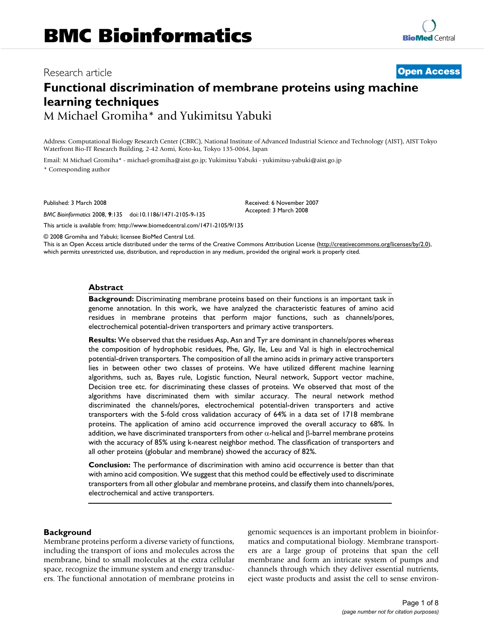# Research article **[Open Access](http://www.biomedcentral.com/info/about/charter/)**

# **Functional discrimination of membrane proteins using machine learning techniques**

M Michael Gromiha\* and Yukimitsu Yabuki

Address: Computational Biology Research Center (CBRC), National Institute of Advanced Industrial Science and Technology (AIST), AIST Tokyo Waterfront Bio-IT Research Building, 2-42 Aomi, Koto-ku, Tokyo 135-0064, Japan

> Received: 6 November 2007 Accepted: 3 March 2008

Email: M Michael Gromiha\* - michael-gromiha@aist.go.jp; Yukimitsu Yabuki - yukimitsu-yabuki@aist.go.jp \* Corresponding author

Published: 3 March 2008

*BMC Bioinformatics* 2008, **9**:135 doi:10.1186/1471-2105-9-135

[This article is available from: http://www.biomedcentral.com/1471-2105/9/135](http://www.biomedcentral.com/1471-2105/9/135)

© 2008 Gromiha and Yabuki; licensee BioMed Central Ltd.

This is an Open Access article distributed under the terms of the Creative Commons Attribution License [\(http://creativecommons.org/licenses/by/2.0\)](http://creativecommons.org/licenses/by/2.0), which permits unrestricted use, distribution, and reproduction in any medium, provided the original work is properly cited.

#### **Abstract**

**Background:** Discriminating membrane proteins based on their functions is an important task in genome annotation. In this work, we have analyzed the characteristic features of amino acid residues in membrane proteins that perform major functions, such as channels/pores, electrochemical potential-driven transporters and primary active transporters.

**Results:** We observed that the residues Asp, Asn and Tyr are dominant in channels/pores whereas the composition of hydrophobic residues, Phe, Gly, Ile, Leu and Val is high in electrochemical potential-driven transporters. The composition of all the amino acids in primary active transporters lies in between other two classes of proteins. We have utilized different machine learning algorithms, such as, Bayes rule, Logistic function, Neural network, Support vector machine, Decision tree etc. for discriminating these classes of proteins. We observed that most of the algorithms have discriminated them with similar accuracy. The neural network method discriminated the channels/pores, electrochemical potential-driven transporters and active transporters with the 5-fold cross validation accuracy of 64% in a data set of 1718 membrane proteins. The application of amino acid occurrence improved the overall accuracy to 68%. In addition, we have discriminated transporters from other  $\alpha$ -helical and β-barrel membrane proteins with the accuracy of 85% using k-nearest neighbor method. The classification of transporters and all other proteins (globular and membrane) showed the accuracy of 82%.

**Conclusion:** The performance of discrimination with amino acid occurrence is better than that with amino acid composition. We suggest that this method could be effectively used to discriminate transporters from all other globular and membrane proteins, and classify them into channels/pores, electrochemical and active transporters.

#### **Background**

Membrane proteins perform a diverse variety of functions, including the transport of ions and molecules across the membrane, bind to small molecules at the extra cellular space, recognize the immune system and energy transducers. The functional annotation of membrane proteins in genomic sequences is an important problem in bioinformatics and computational biology. Membrane transporters are a large group of proteins that span the cell membrane and form an intricate system of pumps and channels through which they deliver essential nutrients, eject waste products and assist the cell to sense environ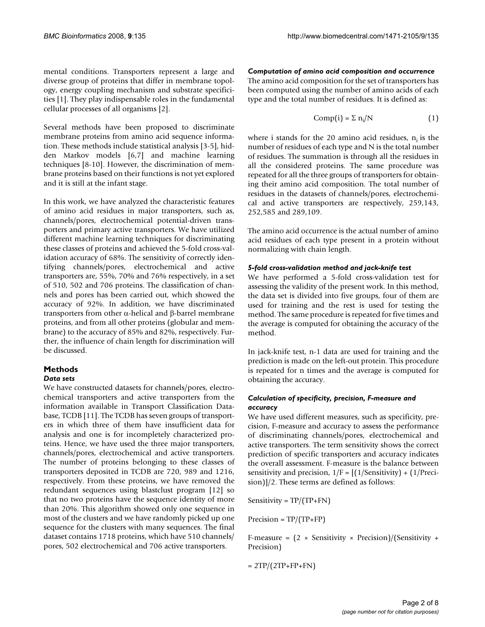mental conditions. Transporters represent a large and diverse group of proteins that differ in membrane topology, energy coupling mechanism and substrate specificities [1]. They play indispensable roles in the fundamental cellular processes of all organisms [2].

Several methods have been proposed to discriminate membrane proteins from amino acid sequence information. These methods include statistical analysis [3-5], hidden Markov models [6,7] and machine learning techniques [8-10]. However, the discrimination of membrane proteins based on their functions is not yet explored and it is still at the infant stage.

In this work, we have analyzed the characteristic features of amino acid residues in major transporters, such as, channels/pores, electrochemical potential-driven transporters and primary active transporters. We have utilized different machine learning techniques for discriminating these classes of proteins and achieved the 5-fold cross-validation accuracy of 68%. The sensitivity of correctly identifying channels/pores, electrochemical and active transporters are, 55%, 70% and 76% respectively, in a set of 510, 502 and 706 proteins. The classification of channels and pores has been carried out, which showed the accuracy of 92%. In addition, we have discriminated transporters from other α-helical and β-barrel membrane proteins, and from all other proteins (globular and membrane) to the accuracy of 85% and 82%, respectively. Further, the influence of chain length for discrimination will be discussed.

#### **Methods** *Data sets*

We have constructed datasets for channels/pores, electrochemical transporters and active transporters from the information available in Transport Classification Database, TCDB [11]. The TCDB has seven groups of transporters in which three of them have insufficient data for analysis and one is for incompletely characterized proteins. Hence, we have used the three major transporters, channels/pores, electrochemical and active transporters. The number of proteins belonging to these classes of transporters deposited in TCDB are 720, 989 and 1216, respectively. From these proteins, we have removed the redundant sequences using blastclust program [12] so that no two proteins have the sequence identity of more than 20%. This algorithm showed only one sequence in most of the clusters and we have randomly picked up one sequence for the clusters with many sequences. The final dataset contains 1718 proteins, which have 510 channels/ pores, 502 electrochemical and 706 active transporters.

*Computation of amino acid composition and occurrence* The amino acid composition for the set of transporters has been computed using the number of amino acids of each type and the total number of residues. It is defined as:

$$
Comp(i) = \sum n_i/N
$$
 (1)

where i stands for the 20 amino acid residues,  $n_i$  is the number of residues of each type and N is the total number of residues. The summation is through all the residues in all the considered proteins. The same procedure was repeated for all the three groups of transporters for obtaining their amino acid composition. The total number of residues in the datasets of channels/pores, electrochemical and active transporters are respectively, 259,143, 252,585 and 289,109.

The amino acid occurrence is the actual number of amino acid residues of each type present in a protein without normalizing with chain length.

# *5-fold cross-validation method and jack-knife test*

We have performed a 5-fold cross-validation test for assessing the validity of the present work. In this method, the data set is divided into five groups, four of them are used for training and the rest is used for testing the method. The same procedure is repeated for five times and the average is computed for obtaining the accuracy of the method.

In jack-knife test, n-1 data are used for training and the prediction is made on the left-out protein. This procedure is repeated for n times and the average is computed for obtaining the accuracy.

## *Calculation of specificity, precision, F-measure and accuracy*

We have used different measures, such as specificity, precision, F-measure and accuracy to assess the performance of discriminating channels/pores, electrochemical and active transporters. The term sensitivity shows the correct prediction of specific transporters and accuracy indicates the overall assessment. F-measure is the balance between sensitivity and precision,  $1/F = [(1/Sensitivity) + (1/Preci$ sion)]/2. These terms are defined as follows:

Sensitivity =  $TP/(TP+FN)$ 

 $Precision = TP/(TP + FP)$ 

F-measure =  $(2 \times$  Sensitivity  $\times$  Precision)/(Sensitivity + Precision)

 $= 2TP/(2TP+FP+FN)$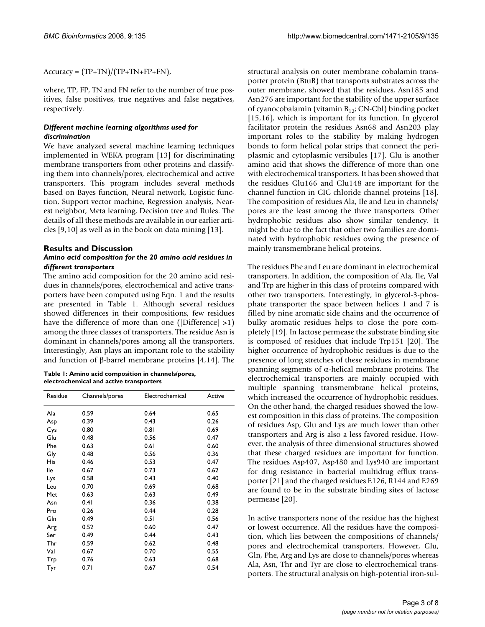$Accuracy = (TP+TN)/(TP+TN+FP+FN),$ 

where, TP, FP, TN and FN refer to the number of true positives, false positives, true negatives and false negatives, respectively.

# *Different machine learning algorithms used for discrimination*

We have analyzed several machine learning techniques implemented in WEKA program [13] for discriminating membrane transporters from other proteins and classifying them into channels/pores, electrochemical and active transporters. This program includes several methods based on Bayes function, Neural network, Logistic function, Support vector machine, Regression analysis, Nearest neighbor, Meta learning, Decision tree and Rules. The details of all these methods are available in our earlier articles [9,10] as well as in the book on data mining [13].

# **Results and Discussion** *Amino acid composition for the 20 amino acid residues in different transporters*

The amino acid composition for the 20 amino acid residues in channels/pores, electrochemical and active transporters have been computed using Eqn. 1 and the results are presented in Table 1. Although several residues showed differences in their compositions, few residues have the difference of more than one (|Difference| >1) among the three classes of transporters. The residue Asn is dominant in channels/pores among all the transporters. Interestingly, Asn plays an important role to the stability and function of β-barrel membrane proteins [4,14]. The

| Table 1: Amino acid composition in channels/pores, |
|----------------------------------------------------|
| electrochemical and active transporters            |

| Residue | Channels/pores | Electrochemical | Active |
|---------|----------------|-----------------|--------|
| Ala     | 0.59           | 0.64            | 0.65   |
| Asp     | 0.39           | 0.43            | 0.26   |
| Cys     | 0.80           | 0.81            | 0.69   |
| Glu     | 0.48           | 0.56            | 0.47   |
| Phe     | 0.63           | 0.61            | 0.60   |
| Gly     | 0.48           | 0.56            | 0.36   |
| His     | 0.46           | 0.53            | 0.47   |
| lle     | 0.67           | 0.73            | 0.62   |
| Lys     | 0.58           | 0.43            | 0.40   |
| Leu     | 0.70           | 0.69            | 0.68   |
| Met     | 0.63           | 0.63            | 0.49   |
| Asn     | 0.41           | 0.36            | 0.38   |
| Pro     | 0.26           | 0.44            | 0.28   |
| Gln     | 0.49           | 0.51            | 0.56   |
| Arg     | 0.52           | 0.60            | 0.47   |
| Ser     | 0.49           | 0.44            | 0.43   |
| Thr     | 0.59           | 0.62            | 0.48   |
| Val     | 0.67           | 0.70            | 0.55   |
| Trp     | 0.76           | 0.63            | 0.68   |
| Tyr     | 0.71           | 0.67            | 0.54   |

structural analysis on outer membrane cobalamin transporter protein (BtuB) that transports substrates across the outer membrane, showed that the residues, Asn185 and Asn276 are important for the stability of the upper surface of cyanocobalamin (vitamin  $B_{12}$ ; CN-Cbl) binding pocket [15,16], which is important for its function. In glycerol facilitator protein the residues Asn68 and Asn203 play important roles to the stability by making hydrogen bonds to form helical polar strips that connect the periplasmic and cytoplasmic versibules [17]. Glu is another amino acid that shows the difference of more than one with electrochemical transporters. It has been showed that the residues Glu166 and Glu148 are important for the channel function in CIC chloride channel proteins [18]. The composition of residues Ala, Ile and Leu in channels/ pores are the least among the three transporters. Other hydrophobic residues also show similar tendency. It might be due to the fact that other two families are dominated with hydrophobic residues owing the presence of mainly transmembrane helical proteins.

The residues Phe and Leu are dominant in electrochemical transporters. In addition, the composition of Ala, Ile, Val and Trp are higher in this class of proteins compared with other two transporters. Interestingly, in glycerol-3-phosphate transporter the space between helices 1 and 7 is filled by nine aromatic side chains and the occurrence of bulky aromatic residues helps to close the pore completely [19]. In lactose permease the substrate binding site is composed of residues that include Trp151 [20]. The higher occurrence of hydrophobic residues is due to the presence of long stretches of these residues in membrane spanning segments of α-helical membrane proteins. The electrochemical transporters are mainly occupied with multiple spanning transmembrane helical proteins, which increased the occurrence of hydrophobic residues. On the other hand, the charged residues showed the lowest composition in this class of proteins. The composition of residues Asp, Glu and Lys are much lower than other transporters and Arg is also a less favored residue. However, the analysis of three dimensional structures showed that these charged residues are important for function. The residues Asp407, Asp480 and Lys940 are important for drug resistance in bacterial multidrug efflux transporter [21] and the charged residues E126, R144 and E269 are found to be in the substrate binding sites of lactose permease [20].

In active transporters none of the residue has the highest or lowest occurrence. All the residues have the composition, which lies between the compositions of channels/ pores and electrochemical transporters. However, Glu, Gln, Phe, Arg and Lys are close to channels/pores whereas Ala, Asn, Thr and Tyr are close to electrochemical transporters. The structural analysis on high-potential iron-sul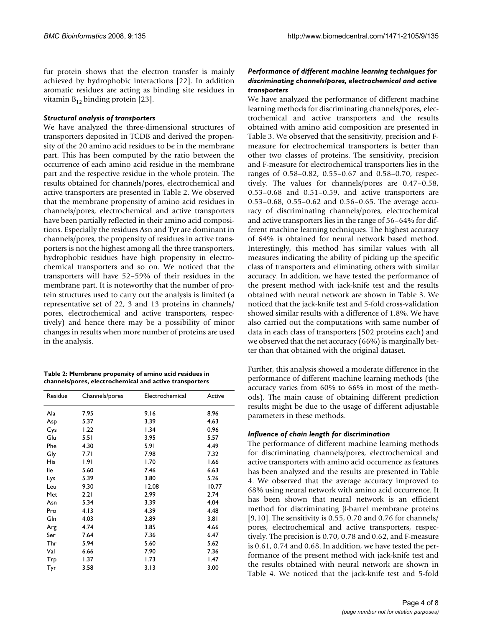fur protein shows that the electron transfer is mainly achieved by hydrophobic interactions [22]. In addition aromatic residues are acting as binding site residues in vitamin  $B_{12}$  binding protein [23].

#### *Structural analysis of transporters*

We have analyzed the three-dimensional structures of transporters deposited in TCDB and derived the propensity of the 20 amino acid residues to be in the membrane part. This has been computed by the ratio between the occurrence of each amino acid residue in the membrane part and the respective residue in the whole protein. The results obtained for channels/pores, electrochemical and active transporters are presented in Table 2. We observed that the membrane propensity of amino acid residues in channels/pores, electrochemical and active transporters have been partially reflected in their amino acid compositions. Especially the residues Asn and Tyr are dominant in channels/pores, the propensity of residues in active transporters is not the highest among all the three transporters, hydrophobic residues have high propensity in electrochemical transporters and so on. We noticed that the transporters will have 52–59% of their residues in the membrane part. It is noteworthy that the number of protein structures used to carry out the analysis is limited (a representative set of 22, 3 and 13 proteins in channels/ pores, electrochemical and active transporters, respectively) and hence there may be a possibility of minor changes in results when more number of proteins are used in the analysis.

**Table 2: Membrane propensity of amino acid residues in channels/pores, electrochemical and active transporters**

| Residue | Channels/pores | Electrochemical | Active |
|---------|----------------|-----------------|--------|
| Ala     | 7.95           | 9.16            | 8.96   |
| Asp     | 5.37           | 3.39            | 4.63   |
| Cys     | 1.22           | 1.34            | 0.96   |
| Glu     | 5.51           | 3.95            | 5.57   |
| Phe     | 4.30           | 5.91            | 4.49   |
| Gly     | 7.71           | 7.98            | 7.32   |
| His     | 1.91           | 1.70            | 1.66   |
| lle     | 5.60           | 7.46            | 6.63   |
| Lys     | 5.39           | 3.80            | 5.26   |
| Leu     | 9.30           | 12.08           | 10.77  |
| Met     | 2.21           | 2.99            | 2.74   |
| Asn     | 5.34           | 3.39            | 4.04   |
| Pro     | 4.13           | 4.39            | 4.48   |
| Gln     | 4.03           | 2.89            | 3.81   |
| Arg     | 4.74           | 3.85            | 4.66   |
| Ser     | 7.64           | 7.36            | 6.47   |
| Thr     | 5.94           | 5.60            | 5.62   |
| Val     | 6.66           | 7.90            | 7.36   |
| Trp     | 1.37           | 1.73            | 1.47   |
| Tyr     | 3.58           | 3.13            | 3.00   |

# *Performance of different machine learning techniques for discriminating channels/pores, electrochemical and active transporters*

We have analyzed the performance of different machine learning methods for discriminating channels/pores, electrochemical and active transporters and the results obtained with amino acid composition are presented in Table 3. We observed that the sensitivity, precision and Fmeasure for electrochemical transporters is better than other two classes of proteins. The sensitivity, precision and F-measure for electrochemical transporters lies in the ranges of 0.58–0.82, 0.55–0.67 and 0.58–0.70, respectively. The values for channels/pores are 0.47–0.58, 0.53–0.68 and 0.51–0.59, and active transporters are 0.53–0.68, 0.55–0.62 and 0.56–0.65. The average accuracy of discriminating channels/pores, electrochemical and active transporters lies in the range of 56–64% for different machine learning techniques. The highest accuracy of 64% is obtained for neural network based method. Interestingly, this method has similar values with all measures indicating the ability of picking up the specific class of transporters and eliminating others with similar accuracy. In addition, we have tested the performance of the present method with jack-knife test and the results obtained with neural network are shown in Table 3. We noticed that the jack-knife test and 5-fold cross-validation showed similar results with a difference of 1.8%. We have also carried out the computations with same number of data in each class of transporters (502 proteins each) and we observed that the net accuracy (66%) is marginally better than that obtained with the original dataset.

Further, this analysis showed a moderate difference in the performance of different machine learning methods (the accuracy varies from 60% to 66% in most of the methods). The main cause of obtaining different prediction results might be due to the usage of different adjustable parameters in these methods.

#### *Influence of chain length for discrimination*

The performance of different machine learning methods for discriminating channels/pores, electrochemical and active transporters with amino acid occurrence as features has been analyzed and the results are presented in Table 4. We observed that the average accuracy improved to 68% using neural network with amino acid occurrence. It has been shown that neural network is an efficient method for discriminating β-barrel membrane proteins  $[9,10]$ . The sensitivity is 0.55, 0.70 and 0.76 for channels/ pores, electrochemical and active transporters, respectively. The precision is 0.70, 0.78 and 0.62, and F-measure is 0.61, 0.74 and 0.68. In addition, we have tested the performance of the present method with jack-knife test and the results obtained with neural network are shown in Table 4. We noticed that the jack-knife test and 5-fold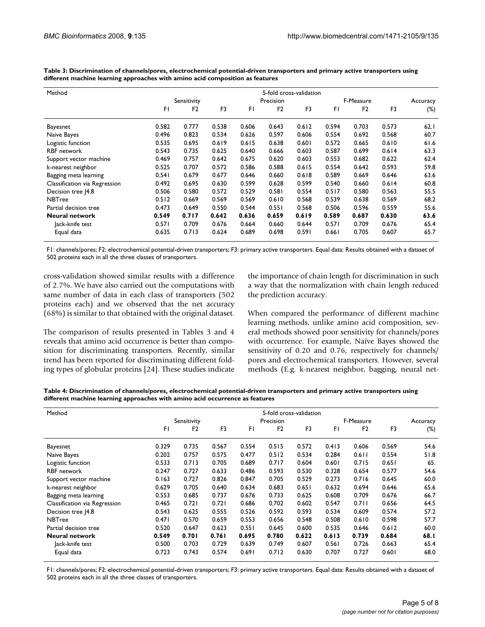| Method                        |       |                |       |       |                | 5-fold cross-validation |       |                |       |          |
|-------------------------------|-------|----------------|-------|-------|----------------|-------------------------|-------|----------------|-------|----------|
|                               |       | Sensitivity    |       |       | Precision      |                         |       | F-Measure      |       | Accuracy |
|                               | FΙ    | F <sub>2</sub> | F3    | FΙ    | F <sub>2</sub> | F3                      | FI    | F <sub>2</sub> | F3    | $(\%)$   |
| Bayesnet                      | 0.582 | 0.777          | 0.538 | 0.606 | 0.643          | 0.612                   | 0.594 | 0.703          | 0.573 | 62.1     |
| Naive Bayes                   | 0.496 | 0.823          | 0.534 | 0.626 | 0.597          | 0.606                   | 0.554 | 0.692          | 0.568 | 60.7     |
| Logistic function             | 0.535 | 0.695          | 0.619 | 0.615 | 0.638          | 0.601                   | 0.572 | 0.665          | 0.610 | 61.6     |
| <b>RBF</b> network            | 0.543 | 0.735          | 0.625 | 0.640 | 0.666          | 0.603                   | 0.587 | 0.699          | 0.614 | 63.3     |
| Support vector machine        | 0.469 | 0.757          | 0.642 | 0.675 | 0.620          | 0.603                   | 0.553 | 0.682          | 0.622 | 62.4     |
| k-nearest neighbor            | 0.525 | 0.707          | 0.572 | 0.586 | 0.588          | 0.615                   | 0.554 | 0.642          | 0.593 | 59.8     |
| Bagging meta learning         | 0.541 | 0.679          | 0.677 | 0.646 | 0.660          | 0.618                   | 0.589 | 0.669          | 0.646 | 63.6     |
| Classification via Regression | 0.492 | 0.695          | 0.630 | 0.599 | 0.628          | 0.599                   | 0.540 | 0.660          | 0.614 | 60.8     |
| Decision tree [4.8]           | 0.506 | 0.580          | 0.572 | 0.529 | 0.581          | 0.554                   | 0.517 | 0.580          | 0.563 | 55.5     |
| <b>NBTree</b>                 | 0.512 | 0.669          | 0.569 | 0.569 | 0.610          | 0.568                   | 0.539 | 0.638          | 0.569 | 68.2     |
| Partial decision tree         | 0.473 | 0.649          | 0.550 | 0.544 | 0.551          | 0.568                   | 0.506 | 0.596          | 0.559 | 55.6     |
| <b>Neural network</b>         | 0.549 | 0.717          | 0.642 | 0.636 | 0.659          | 0.619                   | 0.589 | 0.687          | 0.630 | 63.6     |
| lack-knife test               | 0.571 | 0.709          | 0.676 | 0.664 | 0.660          | 0.644                   | 0.571 | 0.709          | 0.676 | 65.4     |
| Equal data                    | 0.635 | 0.713          | 0.624 | 0.689 | 0.698          | 0.591                   | 0.661 | 0.705          | 0.607 | 65.7     |

**Table 3: Discrimination of channels/pores, electrochemical potential-driven transporters and primary active transporters using different machine learning approaches with amino acid composition as features**

F1: channels/pores; F2: electrochemical potential-driven transporters; F3: primary active transporters. Equal data: Results obtained with a dataset of 502 proteins each in all the three classes of transporters.

cross-validation showed similar results with a difference of 2.7%. We have also carried out the computations with same number of data in each class of transporters (502 proteins each) and we observed that the net accuracy (68%) is similar to that obtained with the original dataset.

The comparison of results presented in Tables 3 and 4 reveals that amino acid occurrence is better than composition for discriminating transporters. Recently, similar trend has been reported for discriminating different folding types of globular proteins [24]. These studies indicate the importance of chain length for discrimination in such a way that the normalization with chain length reduced the prediction accuracy.

When compared the performance of different machine learning methods, unlike amino acid composition, several methods showed poor sensitivity for channels/pores with occurrence. For example, Naïve Bayes showed the sensitivity of 0.20 and 0.76, respectively for channels/ pores and electrochemical transporters. However, several methods (E.g. k-nearest neighbor, bagging, neural net-

**Table 4: Discrimination of channels/pores, electrochemical potential-driven transporters and primary active transporters using different machine learning approaches with amino acid occurrence as features**

| Method                        |       |                |       |       |                | 5-fold cross-validation |       |                |       |          |
|-------------------------------|-------|----------------|-------|-------|----------------|-------------------------|-------|----------------|-------|----------|
|                               |       | Sensitivity    |       |       | Precision      |                         |       | F-Measure      |       | Accuracy |
|                               | FI    | F <sub>2</sub> | F3    | FI.   | F <sub>2</sub> | F3                      | FI    | F <sub>2</sub> | F3    | $(\%)$   |
| Bayesnet                      | 0.329 | 0.735          | 0.567 | 0.554 | 0.515          | 0.572                   | 0.413 | 0.606          | 0.569 | 54.6     |
| Naive Bayes                   | 0.202 | 0.757          | 0.575 | 0.477 | 0.512          | 0.534                   | 0.284 | $0.6$          | 0.554 | 51.8     |
| Logistic function             | 0.533 | 0.713          | 0.705 | 0.689 | 0.717          | 0.604                   | 0.601 | 0.715          | 0.651 | 65.      |
| <b>RBF</b> network            | 0.247 | 0.727          | 0.633 | 0.486 | 0.593          | 0.530                   | 0.328 | 0.654          | 0.577 | 54.6     |
| Support vector machine        | 0.163 | 0.727          | 0.826 | 0.847 | 0.705          | 0.529                   | 0.273 | 0.716          | 0.645 | 60.0     |
| k-nearest neighbor            | 0.629 | 0.705          | 0.640 | 0.634 | 0.683          | 0.651                   | 0.632 | 0.694          | 0.646 | 65.6     |
| Bagging meta learning         | 0.553 | 0.685          | 0.737 | 0.676 | 0.733          | 0.625                   | 0.608 | 0.709          | 0.676 | 66.7     |
| Classification via Regression | 0.465 | 0.721          | 0.721 | 0.686 | 0.702          | 0.602                   | 0.547 | 0.711          | 0.656 | 64.5     |
| Decision tree J4.8            | 0.543 | 0.625          | 0.555 | 0.526 | 0.592          | 0.593                   | 0.534 | 0.609          | 0.574 | 57.2     |
| <b>NBTree</b>                 | 0.471 | 0.570          | 0.659 | 0.553 | 0.656          | 0.548                   | 0.508 | 0.610          | 0.598 | 57.7     |
| Partial decision tree         | 0.520 | 0.647          | 0.623 | 0.551 | 0.645          | 0.600                   | 0.535 | 0.646          | 0.612 | 60.0     |
| <b>Neural network</b>         | 0.549 | 0.701          | 0.761 | 0.695 | 0.780          | 0.622                   | 0.613 | 0.739          | 0.684 | 68.I     |
| Jack-knife test               | 0.500 | 0.703          | 0.729 | 0.639 | 0.749          | 0.607                   | 0.561 | 0.726          | 0.663 | 65.4     |
| Equal data                    | 0.723 | 0.743          | 0.574 | 0.691 | 0.712          | 0.630                   | 0.707 | 0.727          | 0.601 | 68.0     |

F1: channels/pores; F2: electrochemical potential-driven transporters; F3: primary active transporters. Equal data: Results obtained with a dataset of 502 proteins each in all the three classes of transporters.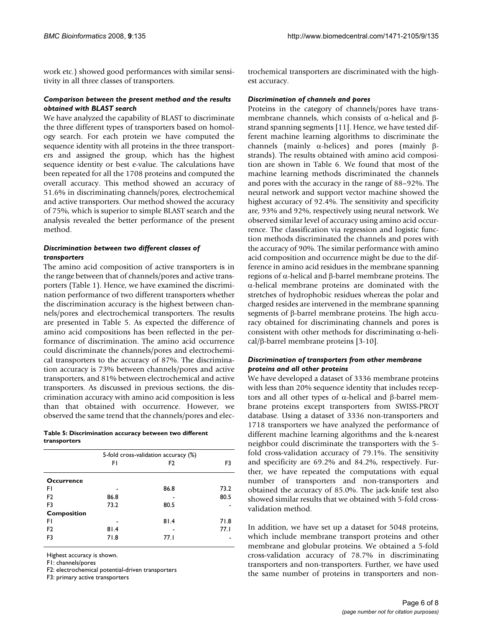work etc.) showed good performances with similar sensitivity in all three classes of transporters.

### *Comparison between the present method and the results obtained with BLAST search*

We have analyzed the capability of BLAST to discriminate the three different types of transporters based on homology search. For each protein we have computed the sequence identity with all proteins in the three transporters and assigned the group, which has the highest sequence identity or best e-value. The calculations have been repeated for all the 1708 proteins and computed the overall accuracy. This method showed an accuracy of 51.6% in discriminating channels/pores, electrochemical and active transporters. Our method showed the accuracy of 75%, which is superior to simple BLAST search and the analysis revealed the better performance of the present method.

# *Discrimination between two different classes of transporters*

The amino acid composition of active transporters is in the range between that of channels/pores and active transporters (Table 1). Hence, we have examined the discrimination performance of two different transporters whether the discrimination accuracy is the highest between channels/pores and electrochemical transporters. The results are presented in Table 5. As expected the difference of amino acid compositions has been reflected in the performance of discrimination. The amino acid occurrence could discriminate the channels/pores and electrochemical transporters to the accuracy of 87%. The discrimination accuracy is 73% between channels/pores and active transporters, and 81% between electrochemical and active transporters. As discussed in previous sections, the discrimination accuracy with amino acid composition is less than that obtained with occurrence. However, we observed the same trend that the channels/pores and elec-

| Table 5: Discrimination accuracy between two different |  |
|--------------------------------------------------------|--|
| transporters                                           |  |

|                    | 5-fold cross-validation accuracy (%) |      |      |
|--------------------|--------------------------------------|------|------|
|                    | FΙ                                   | F2   | F3   |
| <b>Occurrence</b>  |                                      |      |      |
|                    |                                      |      |      |
| FΙ                 |                                      | 86.8 | 73.2 |
| F <sub>2</sub>     | 86.8                                 |      | 80.5 |
| F3                 | 73.2                                 | 80.5 |      |
| <b>Composition</b> |                                      |      |      |
| FI                 |                                      | 81.4 | 71.8 |
| F <sub>2</sub>     | 81.4                                 |      | 77.1 |
| F3                 | 71.8                                 | 77.I |      |
|                    |                                      |      |      |

Highest accuracy is shown.

F1: channels/pores

F2: electrochemical potential-driven transporters

F3: primary active transporters

trochemical transporters are discriminated with the highest accuracy.

#### *Discrimination of channels and pores*

Proteins in the category of channels/pores have transmembrane channels, which consists of α-helical and βstrand spanning segments [11]. Hence, we have tested different machine learning algorithms to discriminate the channels (mainly α-helices) and pores (mainly βstrands). The results obtained with amino acid composition are shown in Table 6. We found that most of the machine learning methods discriminated the channels and pores with the accuracy in the range of 88–92%. The neural network and support vector machine showed the highest accuracy of 92.4%. The sensitivity and specificity are, 93% and 92%, respectively using neural network. We observed similar level of accuracy using amino acid occurrence. The classification via regression and logistic function methods discriminated the channels and pores with the accuracy of 90%. The similar performance with amino acid composition and occurrence might be due to the difference in amino acid residues in the membrane spanning regions of α-helical and β-barrel membrane proteins. The α-helical membrane proteins are dominated with the stretches of hydrophobic residues whereas the polar and charged resides are intervened in the membrane spanning segments of β-barrel membrane proteins. The high accuracy obtained for discriminating channels and pores is consistent with other methods for discriminating α-helical/β-barrel membrane proteins [3-10].

## *Discrimination of transporters from other membrane proteins and all other proteins*

We have developed a dataset of 3336 membrane proteins with less than 20% sequence identity that includes receptors and all other types of α-helical and β-barrel membrane proteins except transporters from SWISS-PROT database. Using a dataset of 3336 non-transporters and 1718 transporters we have analyzed the performance of different machine learning algorithms and the k-nearest neighbor could discriminate the transporters with the 5 fold cross-validation accuracy of 79.1%. The sensitivity and specificity are 69.2% and 84.2%, respectively. Further, we have repeated the computations with equal number of transporters and non-transporters and obtained the accuracy of 85.0%. The jack-knife test also showed similar results that we obtained with 5-fold crossvalidation method.

In addition, we have set up a dataset for 5048 proteins, which include membrane transport proteins and other membrane and globular proteins. We obtained a 5-fold cross-validation accuracy of 78.7% in discriminating transporters and non-transporters. Further, we have used the same number of proteins in transporters and non-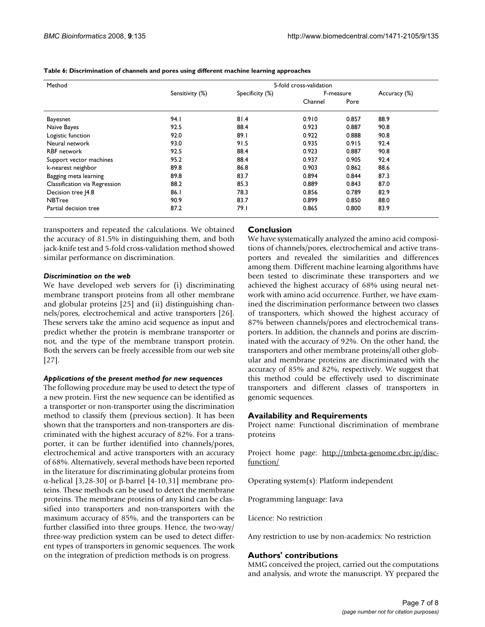| Method                        |                 |                 | 5-fold cross-validation |           |      |  |
|-------------------------------|-----------------|-----------------|-------------------------|-----------|------|--|
|                               | Sensitivity (%) | Specificity (%) |                         | F-measure |      |  |
|                               |                 |                 | Channel                 | Pore      |      |  |
| Bayesnet                      | 94.I            | 81.4            | 0.910                   | 0.857     | 88.9 |  |
| Naive Bayes                   | 92.5            | 88.4            | 0.923                   | 0.887     | 90.8 |  |
| Logistic function             | 92.0            | 89.1            | 0.922                   | 0.888     | 90.8 |  |
| Neural network                | 93.0            | 91.5            | 0.935                   | 0.915     | 92.4 |  |
| <b>RBF</b> network            | 92.5            | 88.4            | 0.923                   | 0.887     | 90.8 |  |
| Support vector machines       | 95.2            | 88.4            | 0.937                   | 0.905     | 92.4 |  |
| k-nearest neighbor            | 89.8            | 86.8            | 0.903                   | 0.862     | 88.6 |  |
| Bagging meta learning         | 89.8            | 83.7            | 0.894                   | 0.844     | 87.3 |  |
| Classification via Regression | 88.2            | 85.3            | 0.889                   | 0.843     | 87.0 |  |
| Decision tree [4.8]           | 86.1            | 78.3            | 0.856                   | 0.789     | 82.9 |  |
| <b>NBTree</b>                 | 90.9            | 83.7            | 0.899                   | 0.850     | 88.0 |  |
| Partial decision tree         | 87.2            | 79. I           | 0.865                   | 0.800     | 83.9 |  |

**Table 6: Discrimination of channels and pores using different machine learning approaches**

transporters and repeated the calculations. We obtained the accuracy of 81.5% in distinguishing them, and both jack-knife test and 5-fold cross-validation method showed similar performance on discrimination.

#### *Discrimination on the web*

We have developed web servers for (i) discriminating membrane transport proteins from all other membrane and globular proteins [25] and (ii) distinguishing channels/pores, electrochemical and active transporters [26]. These servers take the amino acid sequence as input and predict whether the protein is membrane transporter or not, and the type of the membrane transport protein. Both the servers can be freely accessible from our web site [27].

#### *Applications of the present method for new sequences*

The following procedure may be used to detect the type of a new protein. First the new sequence can be identified as a transporter or non-transporter using the discrimination method to classify them (previous section). It has been shown that the transporters and non-transporters are discriminated with the highest accuracy of 82%. For a transporter, it can be further identified into channels/pores, electrochemical and active transporters with an accuracy of 68%. Alternatively, several methods have been reported in the literature for discriminating globular proteins from α-helical [3,28-30] or β-barrel [4-10,31] membrane proteins. These methods can be used to detect the membrane proteins. The membrane proteins of any kind can be classified into transporters and non-transporters with the maximum accuracy of 85%, and the transporters can be further classified into three groups. Hence, the two-way/ three-way prediction system can be used to detect different types of transporters in genomic sequences. The work on the integration of prediction methods is on progress.

# **Conclusion**

We have systematically analyzed the amino acid compositions of channels/pores, electrochemical and active transporters and revealed the similarities and differences among them. Different machine learning algorithms have been tested to discriminate these transporters and we achieved the highest accuracy of 68% using neural network with amino acid occurrence. Further, we have examined the discrimination performance between two classes of transporters, which showed the highest accuracy of 87% between channels/pores and electrochemical transporters. In addition, the channels and porins are discriminated with the accuracy of 92%. On the other hand, the transporters and other membrane proteins/all other globular and membrane proteins are discriminated with the accuracy of 85% and 82%, respectively. We suggest that this method could be effectively used to discriminate transporters and different classes of transporters in genomic sequences.

# **Availability and Requirements**

Project name: Functional discrimination of membrane proteins

Project home page: [http://tmbeta-genome.cbrc.jp/disc](http://tmbeta-genome.cbrc.jp/disc-function/)[function/](http://tmbeta-genome.cbrc.jp/disc-function/)

Operating system(s): Platform independent

Programming language: Java

Licence: No restriction

Any restriction to use by non-academics: No restriction

# **Authors' contributions**

MMG conceived the project, carried out the computations and analysis, and wrote the manuscript. YY prepared the